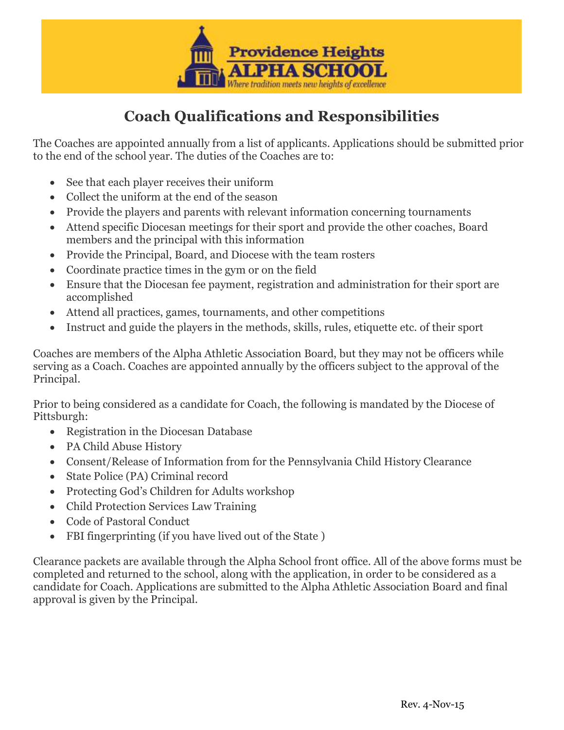

## **Coach Qualifications and Responsibilities**

The Coaches are appointed annually from a list of applicants. Applications should be submitted prior to the end of the school year. The duties of the Coaches are to:

- See that each player receives their uniform
- Collect the uniform at the end of the season
- Provide the players and parents with relevant information concerning tournaments
- Attend specific Diocesan meetings for their sport and provide the other coaches, Board members and the principal with this information
- Provide the Principal, Board, and Diocese with the team rosters
- Coordinate practice times in the gym or on the field
- Ensure that the Diocesan fee payment, registration and administration for their sport are accomplished
- Attend all practices, games, tournaments, and other competitions
- Instruct and guide the players in the methods, skills, rules, etiquette etc. of their sport

Coaches are members of the Alpha Athletic Association Board, but they may not be officers while serving as a Coach. Coaches are appointed annually by the officers subject to the approval of the Principal.

Prior to being considered as a candidate for Coach, the following is mandated by the Diocese of Pittsburgh:

- Registration in the Diocesan Database
- PA Child Abuse History
- Consent/Release of Information from for the Pennsylvania Child History Clearance
- State Police (PA) Criminal record
- Protecting God's Children for Adults workshop
- Child Protection Services Law Training
- Code of Pastoral Conduct
- FBI fingerprinting (if you have lived out of the State )

Clearance packets are available through the Alpha School front office. All of the above forms must be completed and returned to the school, along with the application, in order to be considered as a candidate for Coach. Applications are submitted to the Alpha Athletic Association Board and final approval is given by the Principal.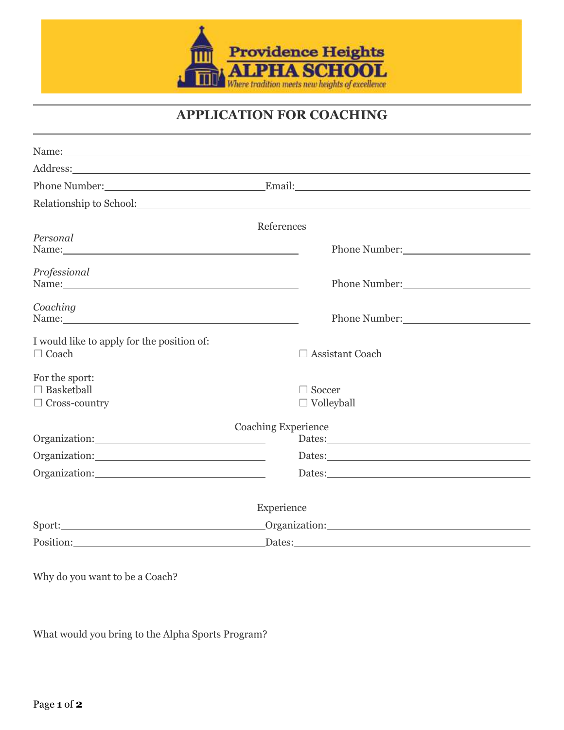

## **APPLICATION FOR COACHING**

| Name: Name and the second contract of the second contract of the second contract of the second contract of the second contract of the second contract of the second contract of the second contract of the second contract of              |                                                                                                                                                                                                                                |
|--------------------------------------------------------------------------------------------------------------------------------------------------------------------------------------------------------------------------------------------|--------------------------------------------------------------------------------------------------------------------------------------------------------------------------------------------------------------------------------|
| Address: <u>Address:</u>                                                                                                                                                                                                                   |                                                                                                                                                                                                                                |
|                                                                                                                                                                                                                                            | Phone Number: Email: Email:                                                                                                                                                                                                    |
| Relationship to School: New York Changes and School:                                                                                                                                                                                       |                                                                                                                                                                                                                                |
|                                                                                                                                                                                                                                            | References                                                                                                                                                                                                                     |
| Personal<br>Name: Name and the second contract of the second contract of the second contract of the second contract of the second contract of the second contract of the second contract of the second contract of the second contract of  | Phone Number:                                                                                                                                                                                                                  |
| Professional                                                                                                                                                                                                                               | Phone Number: 2000                                                                                                                                                                                                             |
| Coaching<br>Name: Name and the set of the set of the set of the set of the set of the set of the set of the set of the set of the set of the set of the set of the set of the set of the set of the set of the set of the set of the set o |                                                                                                                                                                                                                                |
| I would like to apply for the position of:<br>$\Box$ Coach                                                                                                                                                                                 | $\Box$ Assistant Coach                                                                                                                                                                                                         |
| For the sport:<br>$\Box$ Basketball<br>$\Box$ Cross-country                                                                                                                                                                                | $\Box$ Soccer<br>$\Box$ Volleyball                                                                                                                                                                                             |
|                                                                                                                                                                                                                                            | <b>Coaching Experience</b><br>Dates: No. 1998.                                                                                                                                                                                 |
|                                                                                                                                                                                                                                            |                                                                                                                                                                                                                                |
| Organization:                                                                                                                                                                                                                              |                                                                                                                                                                                                                                |
|                                                                                                                                                                                                                                            | Experience                                                                                                                                                                                                                     |
|                                                                                                                                                                                                                                            | Organization: New York Changes and Changes and Changes and Changes and Changes and Changes and Changes and Changes and Changes and Changes and Changes and Changes and Changes and Changes and Changes and Changes and Changes |
| Position: 2000 and 2000 and 2000 and 2000 and 2000 and 2000 and 2000 and 2000 and 2000 and 2000 and 2000 and 2000 and 2000 and 2000 and 2000 and 2000 and 2000 and 2000 and 2000 and 2000 and 2000 and 2000 and 2000 and 2000              | Dates: <u>Dates:</u>                                                                                                                                                                                                           |

Why do you want to be a Coach?

What would you bring to the Alpha Sports Program?